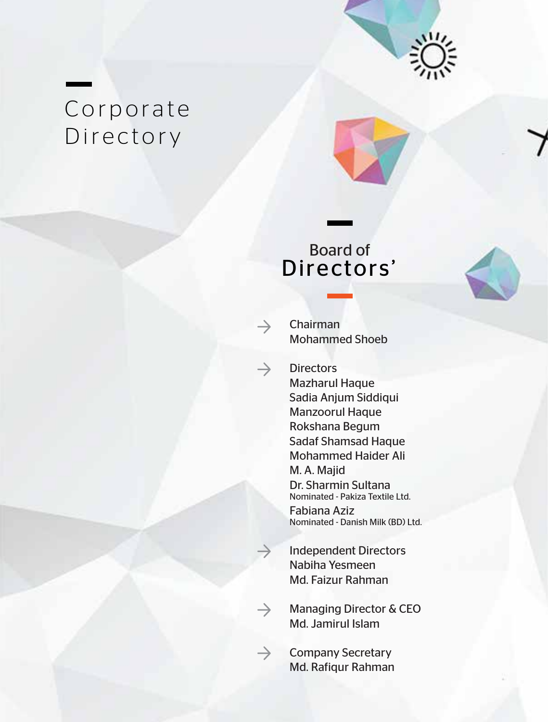

# Corporate Directory



### Board of Directors'



Chairman Mohammed Shoeb

 $\rightarrow$ 

 $\rightarrow$ 

 $\rightarrow$ 

 $\rightarrow$ 

**Directors** Mazharul Haque Sadia Anjum Siddiqui Manzoorul Haque Rokshana Begum Sadaf Shamsad Haque Mohammed Haider Ali M. A. Majid Dr. Sharmin Sultana Nominated - Pakiza Textile Ltd.

Fabiana Aziz Nominated - Danish Milk (BD) Ltd.

- Independent Directors Nabiha Yesmeen Md. Faizur Rahman
- Managing Director & CEO Md. Jamirul Islam
- Company Secretary Md. Rafiqur Rahman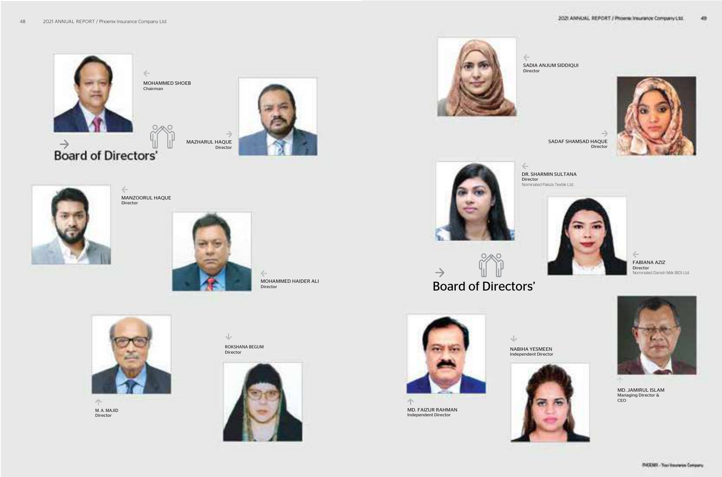$\Leftarrow$ MANZOORUL HAQUE Director







 $\leftarrow$ MOHAMMED HAIDER ALI Director



 $\curvearrowleft$ M. A. MAJID Director

 $\sqrt{}$ 



 $\leftarrow$ Director

ROKSHANA BEGUM Director







 $\leftarrow$ Director 2021 ANNUAL REPORT / Phoene Insurance Company Ltd.

 $\sqrt{}$ NABIHA YESMEEN



#### DR. SHARMIN SULTANA

Nominated Pakiza Textile Ltd.



SADIA ANJUM SIDDIQUI



49.

 $\frac{1}{2}$ SADAF SHAMSAD HAQUE **Director** 

> FABIANA AZIZ Director Nominated Danish Milk (BD) Ltd.

Independent Director



MD. JAMIRUL ISLAM Managing Director & CEO



MD. FAIZUR RAHMAN Independent Director

## Board of Directors'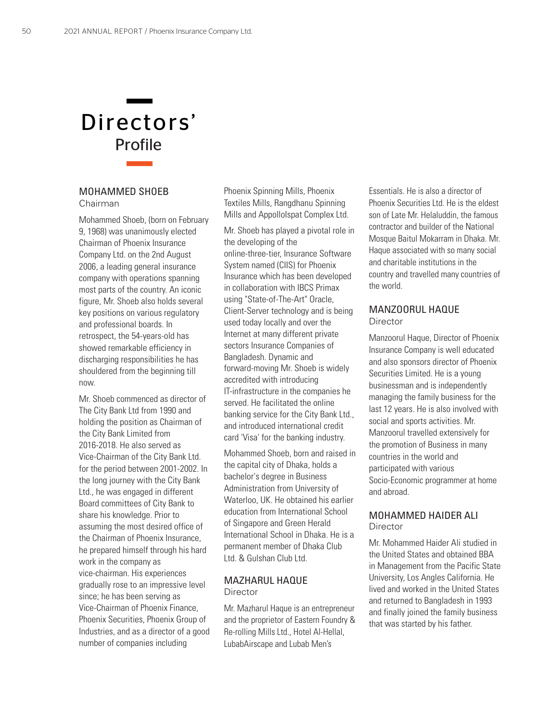

#### MOHAMMED SHOEB

#### Chairman

Mohammed Shoeb, (born on February 9, 1968) was unanimously elected Chairman of Phoenix Insurance Company Ltd. on the 2nd August 2006, a leading general insurance company with operations spanning most parts of the country. An iconic figure, Mr. Shoeb also holds several key positions on various regulatory and professional boards. In retrospect, the 54-years-old has showed remarkable efficiency in discharging responsibilities he has shouldered from the beginning till now.

Mr. Shoeb commenced as director of The City Bank Ltd from 1990 and holding the position as Chairman of the City Bank Limited from 2016-2018. He also served as Vice-Chairman of the City Bank Ltd. for the period between 2001-2002. In the long journey with the City Bank Ltd., he was engaged in different Board committees of City Bank to share his knowledge. Prior to assuming the most desired office of the Chairman of Phoenix Insurance, he prepared himself through his hard work in the company as vice-chairman. His experiences gradually rose to an impressive level since; he has been serving as Vice-Chairman of Phoenix Finance, Phoenix Securities, Phoenix Group of Industries, and as a director of a good number of companies including

Phoenix Spinning Mills, Phoenix Textiles Mills, Rangdhanu Spinning Mills and AppolloIspat Complex Ltd.

Mr. Shoeb has played a pivotal role in the developing of the online-three-tier, Insurance Software System named (CIIS) for Phoenix Insurance which has been developed in collaboration with IBCS Primax using "State-of-The-Art" Oracle, Client-Server technology and is being used today locally and over the Internet at many different private sectors Insurance Companies of Bangladesh. Dynamic and forward-moving Mr. Shoeb is widely accredited with introducing IT-infrastructure in the companies he served. He facilitated the online banking service for the City Bank Ltd., and introduced international credit card 'Visa' for the banking industry.

Mohammed Shoeb, born and raised in the capital city of Dhaka, holds a bachelor's degree in Business Administration from University of Waterloo, UK. He obtained his earlier education from International School of Singapore and Green Herald International School in Dhaka. He is a permanent member of Dhaka Club Ltd. & Gulshan Club Ltd.

#### MAZHARUL HAQUE **Director**

Mr. Mazharul Haque is an entrepreneur and the proprietor of Eastern Foundry & Re-rolling Mills Ltd., Hotel Al-Hellal, LubabAirscape and Lubab Men's

Essentials. He is also a director of Phoenix Securities Ltd. He is the eldest son of Late Mr. Helaluddin, the famous contractor and builder of the National Mosque Baitul Mokarram in Dhaka. Mr. Haque associated with so many social and charitable institutions in the country and travelled many countries of the world.

#### MANZOORUL HAQUE **Director**

Manzoorul Haque, Director of Phoenix Insurance Company is well educated and also sponsors director of Phoenix Securities Limited. He is a young businessman and is independently managing the family business for the last 12 years. He is also involved with social and sports activities. Mr. Manzoorul travelled extensively for the promotion of Business in many countries in the world and participated with various Socio-Economic programmer at home and abroad.

#### MOHAMMED HAIDER ALI **Director**

Mr. Mohammed Haider Ali studied in the United States and obtained BBA in Management from the Pacific State University, Los Angles California. He lived and worked in the United States and returned to Bangladesh in 1993 and finally joined the family business that was started by his father.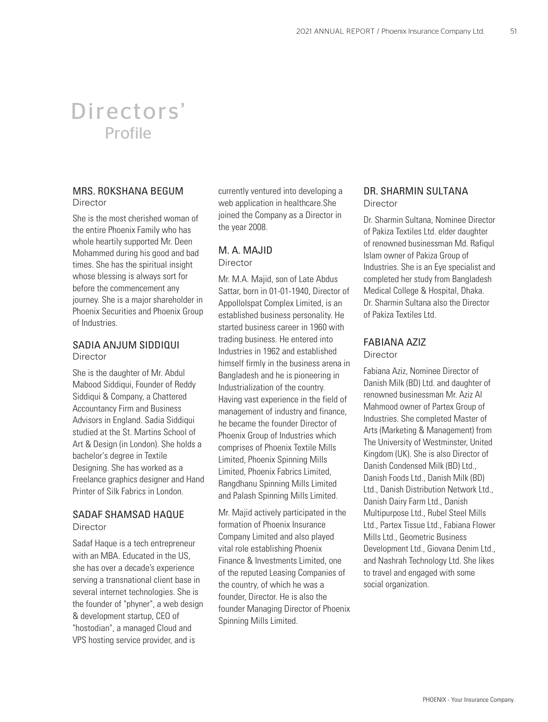### Directors' Profile

#### MRS. ROKSHANA BEGUM Director

She is the most cherished woman of the entire Phoenix Family who has whole heartily supported Mr. Deen Mohammed during his good and bad times. She has the spiritual insight whose blessing is always sort for before the commencement any journey. She is a major shareholder in Phoenix Securities and Phoenix Group of Industries.

#### SADIA ANJUM SIDDIQUI **Director**

She is the daughter of Mr. Abdul Mabood Siddiqui, Founder of Reddy Siddiqui & Company, a Chattered Accountancy Firm and Business Advisors in England. Sadia Siddiqui studied at the St. Martins School of Art & Design (in London). She holds a bachelor's degree in Textile Designing. She has worked as a Freelance graphics designer and Hand Printer of Silk Fabrics in London.

#### SADAF SHAMSAD HAQUE **Director**

Sadaf Haque is a tech entrepreneur with an MBA. Educated in the US, she has over a decade's experience serving a transnational client base in several internet technologies. She is the founder of "phyner", a web design & development startup, CEO of "hostodian", a managed Cloud and VPS hosting service provider, and is

currently ventured into developing a web application in healthcare.She joined the Company as a Director in the year 2008.

#### M. A. MAJID **Director**

Mr. M.A. Majid, son of Late Abdus Sattar, born in 01-01-1940, Director of AppolloIspat Complex Limited, is an established business personality. He started business career in 1960 with trading business. He entered into Industries in 1962 and established himself firmly in the business arena in Bangladesh and he is pioneering in Industrialization of the country. Having vast experience in the field of management of industry and finance, he became the founder Director of Phoenix Group of Industries which comprises of Phoenix Textile Mills Limited, Phoenix Spinning Mills Limited, Phoenix Fabrics Limited, Rangdhanu Spinning Mills Limited and Palash Spinning Mills Limited.

Mr. Majid actively participated in the formation of Phoenix Insurance Company Limited and also played vital role establishing Phoenix Finance & Investments Limited, one of the reputed Leasing Companies of the country, of which he was a founder, Director. He is also the founder Managing Director of Phoenix Spinning Mills Limited.

#### DR. SHARMIN SULTANA Director

Dr. Sharmin Sultana, Nominee Director of Pakiza Textiles Ltd. elder daughter of renowned businessman Md. Rafiqul Islam owner of Pakiza Group of Industries. She is an Eye specialist and completed her study from Bangladesh Medical College & Hospital, Dhaka. Dr. Sharmin Sultana also the Director of Pakiza Textiles Ltd.

### FABIANA AZIZ

**Director** 

Fabiana Aziz, Nominee Director of Danish Milk (BD) Ltd. and daughter of renowned businessman Mr. Aziz Al Mahmood owner of Partex Group of Industries. She completed Master of Arts (Marketing & Management) from The University of Westminster, United Kingdom (UK). She is also Director of Danish Condensed Milk (BD) Ltd., Danish Foods Ltd., Danish Milk (BD) Ltd., Danish Distribution Network Ltd., Danish Dairy Farm Ltd., Danish Multipurpose Ltd., Rubel Steel Mills Ltd., Partex Tissue Ltd., Fabiana Flower Mills Ltd., Geometric Business Development Ltd., Giovana Denim Ltd., and Nashrah Technology Ltd. She likes to travel and engaged with some social organization.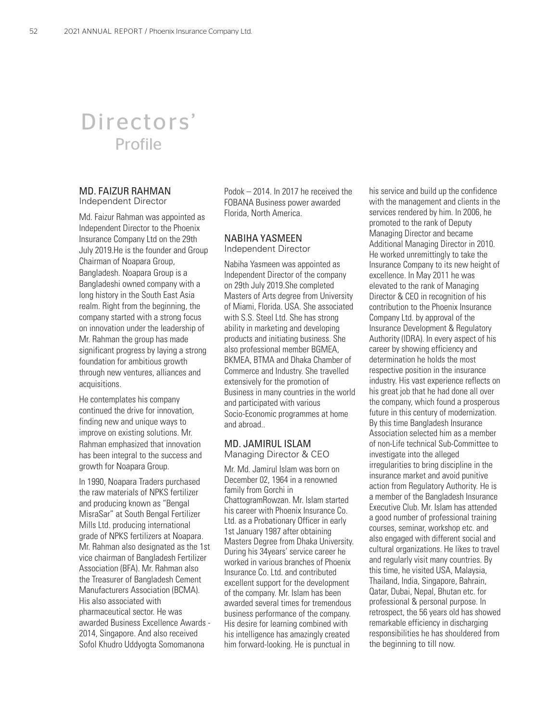### Directors' Profile

#### MD. FAIZUR RAHMAN

Independent Director

Md. Faizur Rahman was appointed as Independent Director to the Phoenix Insurance Company Ltd on the 29th July 2019.He is the founder and Group Chairman of Noapara Group, Bangladesh. Noapara Group is a Bangladeshi owned company with a long history in the South East Asia realm. Right from the beginning, the company started with a strong focus on innovation under the leadership of Mr. Rahman the group has made significant progress by laying a strong foundation for ambitious growth through new ventures, alliances and acquisitions.

He contemplates his company continued the drive for innovation, finding new and unique ways to improve on existing solutions. Mr. Rahman emphasized that innovation has been integral to the success and growth for Noapara Group.

In 1990, Noapara Traders purchased the raw materials of NPKS fertilizer and producing known as "Bengal MisraSar" at South Bengal Fertilizer Mills Ltd. producing international grade of NPKS fertilizers at Noapara. Mr. Rahman also designated as the 1st vice chairman of Bangladesh Fertilizer Association (BFA). Mr. Rahman also the Treasurer of Bangladesh Cement Manufacturers Association (BCMA). His also associated with pharmaceutical sector. He was awarded Business Excellence Awards - 2014, Singapore. And also received Sofol Khudro Uddyogta Somomanona

Podok – 2014. In 2017 he received the FOBANA Business power awarded Florida, North America.

#### NABIHA YASMEEN Independent Director

Nabiha Yasmeen was appointed as Independent Director of the company on 29th July 2019.She completed Masters of Arts degree from University of Miami, Florida. USA. She associated with S.S. Steel Ltd. She has strong ability in marketing and developing products and initiating business. She also professional member BGMEA, BKMEA, BTMA and Dhaka Chamber of Commerce and Industry. She travelled extensively for the promotion of Business in many countries in the world and participated with various Socio-Economic programmes at home and abroad..

#### MD. JAMIRUL ISLAM Managing Director & CEO

Mr. Md. Jamirul Islam was born on December 02, 1964 in a renowned family from Gorchi in ChattogramRowzan. Mr. Islam started his career with Phoenix Insurance Co. Ltd. as a Probationary Officer in early 1st January 1987 after obtaining Masters Degree from Dhaka University. During his 34years' service career he worked in various branches of Phoenix Insurance Co. Ltd. and contributed excellent support for the development of the company. Mr. Islam has been awarded several times for tremendous business performance of the company. His desire for learning combined with his intelligence has amazingly created him forward-looking. He is punctual in

his service and build up the confidence with the management and clients in the services rendered by him. In 2006, he promoted to the rank of Deputy Managing Director and became Additional Managing Director in 2010. He worked unremittingly to take the Insurance Company to its new height of excellence. In May 2011 he was elevated to the rank of Managing Director & CEO in recognition of his contribution to the Phoenix Insurance Company Ltd. by approval of the Insurance Development & Regulatory Authority (IDRA). In every aspect of his career by showing efficiency and determination he holds the most respective position in the insurance industry. His vast experience reflects on his great job that he had done all over the company, which found a prosperous future in this century of modernization. By this time Bangladesh Insurance Association selected him as a member of non-Life technical Sub-Committee to investigate into the alleged irregularities to bring discipline in the insurance market and avoid punitive action from Regulatory Authority. He is a member of the Bangladesh Insurance Executive Club. Mr. Islam has attended a good number of professional training courses, seminar, workshop etc. and also engaged with different social and cultural organizations. He likes to travel and regularly visit many countries. By this time, he visited USA, Malaysia, Thailand, India, Singapore, Bahrain, Qatar, Dubai, Nepal, Bhutan etc. for professional & personal purpose. In retrospect, the 56 years old has showed remarkable efficiency in discharging responsibilities he has shouldered from the beginning to till now.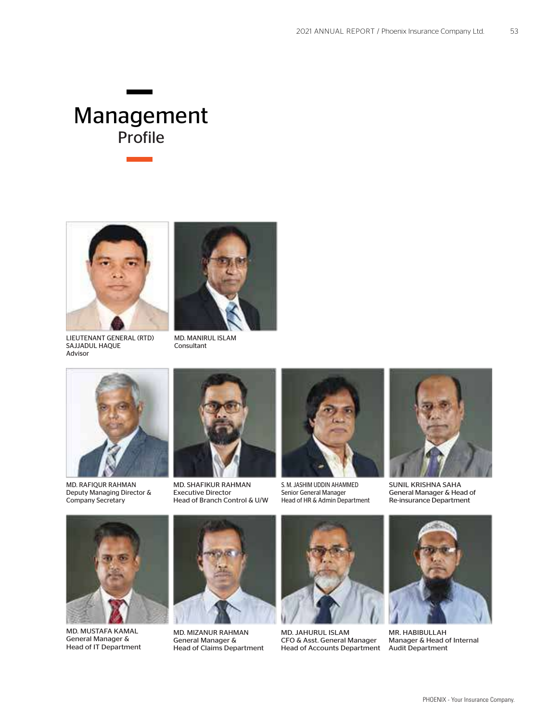

LIEUTENANT GENERAL (RTD) SAJJADUL HAQUE Advisor



MD. MANIRUL ISLAM Consultant



MD. RAFIQUR RAHMAN Deputy Managing Director & Company Secretary



MD. SHAFIKUR RAHMAN Executive Director Head of Branch Control & U/W



S. M. JASHIM UDDIN AHAMMED Senior General Manager Head of HR & Admin Department



SUNIL KRISHNA SAHA General Manager & Head of Re-insurance Department



MD. MUSTAFA KAMAL General Manager & Head of IT Department



MD. MIZANUR RAHMAN General Manager & Head of Claims Department



MD. JAHURUL ISLAM CFO & Asst. General Manager Head of Accounts Department



MR. HABIBULLAH Manager & Head of Internal Audit Department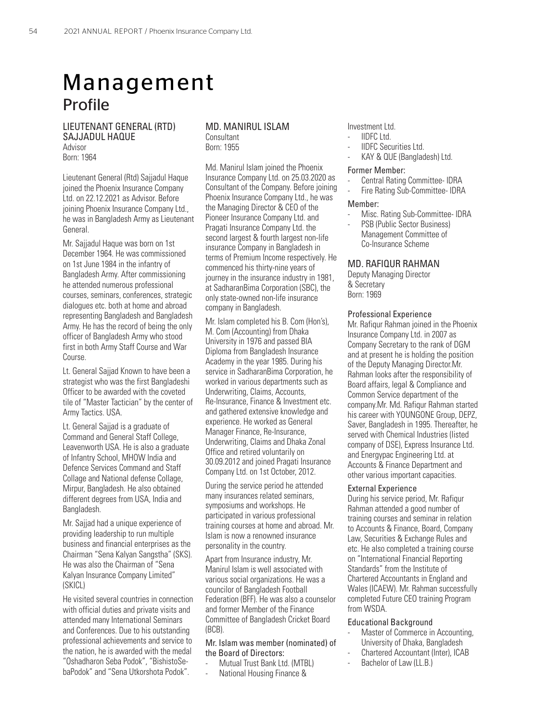#### LIEUTENANT GENERAL (RTD) SAJJADUL HAQUE Advisor

Born: 1964

Lieutenant General (Rtd) Sajjadul Haque joined the Phoenix Insurance Company Ltd. on 22.12.2021 as Advisor. Before joining Phoenix Insurance Company Ltd., he was in Bangladesh Army as Lieutenant General.

Mr. Sajjadul Haque was born on 1st December 1964. He was commissioned on 1st June 1984 in the infantry of Bangladesh Army. After commissioning he attended numerous professional courses, seminars, conferences, strategic dialogues etc. both at home and abroad representing Bangladesh and Bangladesh Army. He has the record of being the only officer of Bangladesh Army who stood first in both Army Staff Course and War Course.

Lt. General Sajjad Known to have been a strategist who was the first Bangladeshi Officer to be awarded with the coveted tile of "Master Tactician" by the center of Army Tactics. USA.

Lt. General Sajjad is a graduate of Command and General Staff College, Leavenworth USA. He is also a graduate of Infantry School, MHOW India and Defence Services Command and Staff Collage and National defense Collage, Mirpur, Bangladesh. He also obtained different degrees from USA, India and Bangladesh.

Mr. Sajjad had a unique experience of providing leadership to run multiple business and financial enterprises as the Chairman "Sena Kalyan Sangstha" (SKS). He was also the Chairman of "Sena Kalyan Insurance Company Limited" (SKICL)

He visited several countries in connection with official duties and private visits and attended many International Seminars and Conferences. Due to his outstanding professional achievements and service to the nation, he is awarded with the medal "Oshadharon Seba Podok", "BishistoSebaPodok" and "Sena Utkorshota Podok".

#### MD. MANIRUL ISLAM **Consultant** Born: 1955

Md. Manirul Islam joined the Phoenix Insurance Company Ltd. on 25.03.2020 as Consultant of the Company. Before joining Phoenix Insurance Company Ltd., he was the Managing Director & CEO of the Pioneer Insurance Company Ltd. and Pragati Insurance Company Ltd. the second largest & fourth largest non-life insurance Company in Bangladesh in terms of Premium Income respectively. He commenced his thirty-nine years of journey in the insurance industry in 1981, at SadharanBima Corporation (SBC), the only state-owned non-life insurance company in Bangladesh.

Mr. Islam completed his B. Com (Hon's), M. Com (Accounting) from Dhaka University in 1976 and passed BIA Diploma from Bangladesh Insurance Academy in the year 1985. During his service in SadharanBima Corporation, he worked in various departments such as Underwriting, Claims, Accounts, Re-Insurance, Finance & Investment etc. and gathered extensive knowledge and experience. He worked as General Manager Finance, Re-Insurance, Underwriting, Claims and Dhaka Zonal Office and retired voluntarily on 30.09.2012 and joined Pragati Insurance Company Ltd. on 1st October, 2012.

During the service period he attended many insurances related seminars, symposiums and workshops. He participated in various professional training courses at home and abroad. Mr. Islam is now a renowned insurance personality in the country.

Apart from Insurance industry, Mr. Manirul Islam is well associated with various social organizations. He was a councilor of Bangladesh Football Federation (BFF). He was also a counselor and former Member of the Finance Committee of Bangladesh Cricket Board (BCB).

Mr. Islam was member (nominated) of the Board of Directors:

#### Mutual Trust Bank Ltd. (MTBL)

- National Housing Finance &

Investment Ltd.

- IIDFC Ltd.
- IIDFC Securities Ltd.
- KAY & QUE (Bangladesh) Ltd.

#### Former Member:

- Central Rating Committee- IDRA
- Fire Rating Sub-Committee- IDRA

#### Member:

- Misc. Rating Sub-Committee- IDRA
- PSB (Public Sector Business) Management Committee of Co-Insurance Scheme

#### MD. RAFIQUR RAHMAN

Deputy Managing Director & Secretary Born: 1969

#### Professional Experience

Mr. Rafiqur Rahman joined in the Phoenix Insurance Company Ltd. in 2007 as Company Secretary to the rank of DGM and at present he is holding the position of the Deputy Managing Director.Mr. Rahman looks after the responsibility of Board affairs, legal & Compliance and Common Service department of the company.Mr. Md. Rafiqur Rahman started his career with YOUNGONE Group, DEPZ, Saver, Bangladesh in 1995. Thereafter, he served with Chemical Industries (listed company of DSE), Express Insurance Ltd. and Energypac Engineering Ltd. at Accounts & Finance Department and other various important capacities.

#### External Experience

During his service period, Mr. Rafiqur Rahman attended a good number of training courses and seminar in relation to Accounts & Finance, Board, Company Law, Securities & Exchange Rules and etc. He also completed a training course on "International Financial Reporting Standards" from the Institute of Chartered Accountants in England and Wales (ICAEW). Mr. Rahman successfully completed Future CEO training Program from WSDA.

#### Educational Background

- Master of Commerce in Accounting, University of Dhaka, Bangladesh
- Chartered Accountant (Inter), ICAB
- Bachelor of Law (LL.B.)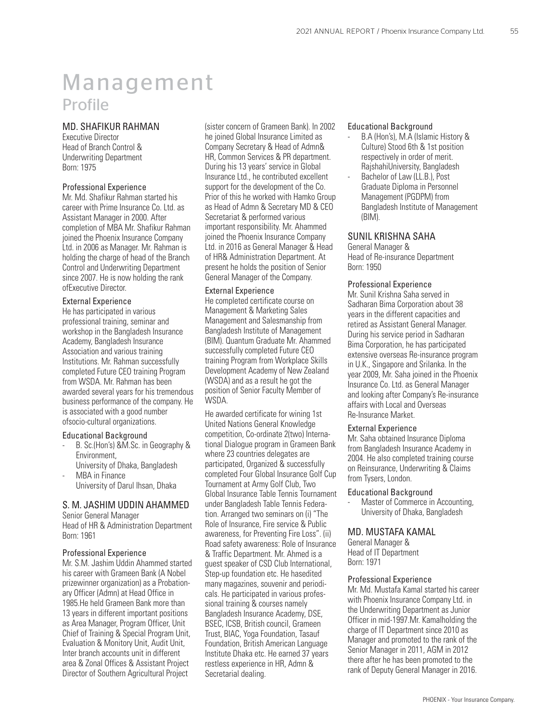#### MD. SHAFIKUR RAHMAN

Executive Director Head of Branch Control & Underwriting Department Born: 1975

#### Professional Experience

Mr. Md. Shafikur Rahman started his career with Prime Insurance Co. Ltd. as Assistant Manager in 2000. After completion of MBA Mr. Shafikur Rahman joined the Phoenix Insurance Company Ltd. in 2006 as Manager. Mr. Rahman is holding the charge of head of the Branch Control and Underwriting Department since 2007. He is now holding the rank ofExecutive Director.

#### External Experience

He has participated in various professional training, seminar and workshop in the Bangladesh Insurance Academy, Bangladesh Insurance Association and various training Institutions. Mr. Rahman successfully completed Future CEO training Program from WSDA. Mr. Rahman has been awarded several years for his tremendous business performance of the company. He is associated with a good number ofsocio-cultural organizations.

#### Educational Background

- B. Sc.(Hon's) &M.Sc. in Geography & Environment,
- University of Dhaka, Bangladesh MBA in Finance
- University of Darul Ihsan, Dhaka

#### S. M. JASHIM UDDIN AHAMMED

Senior General Manager Head of HR & Administration Department Born: 1961

#### Professional Experience

Mr. S.M. Jashim Uddin Ahammed started his career with Grameen Bank (A Nobel prizewinner organization) as a Probationary Officer (Admn) at Head Office in 1985.He held Grameen Bank more than 13 years in different important positions as Area Manager, Program Officer, Unit Chief of Training & Special Program Unit, Evaluation & Monitory Unit, Audit Unit, Inter branch accounts unit in different area & Zonal Offices & Assistant Project Director of Southern Agricultural Project

(sister concern of Grameen Bank). In 2002 he joined Global Insurance Limited as Company Secretary & Head of Admn& HR, Common Services & PR department. During his 13 years' service in Global Insurance Ltd., he contributed excellent support for the development of the Co. Prior of this he worked with Hamko Group as Head of Admn & Secretary MD & CEO Secretariat & performed various important responsibility. Mr. Ahammed joined the Phoenix Insurance Company Ltd. in 2016 as General Manager & Head of HR& Administration Department. At present he holds the position of Senior General Manager of the Company.

#### External Experience

He completed certificate course on Management & Marketing Sales Management and Salesmanship from Bangladesh Institute of Management (BIM). Quantum Graduate Mr. Ahammed successfully completed Future CEO training Program from Workplace Skills Development Academy of New Zealand (WSDA) and as a result he got the position of Senior Faculty Member of WSDA.

He awarded certificate for wining 1st United Nations General Knowledge competition, Co-ordinate 2(two) International Dialogue program in Grameen Bank where 23 countries delegates are participated, Organized & successfully completed Four Global Insurance Golf Cup Tournament at Army Golf Club, Two Global Insurance Table Tennis Tournament under Bangladesh Table Tennis Federation. Arranged two seminars on (i) "The Role of Insurance, Fire service & Public awareness, for Preventing Fire Loss". (ii) Road safety awareness: Role of Insurance & Traffic Department. Mr. Ahmed is a guest speaker of CSD Club International, Step-up foundation etc. He hasedited many magazines, souvenir and periodicals. He participated in various professional training & courses namely Bangladesh Insurance Academy, DSE, BSEC, ICSB, British council, Grameen Trust, BIAC, Yoga Foundation, Tasauf Foundation, British American Language Institute Dhaka etc. He earned 37 years restless experience in HR, Admn & Secretarial dealing.

#### Educational Background

- B.A (Hon's), M.A (Islamic History & Culture) Stood 6th & 1st position respectively in order of merit. RajshahiUniversity, Bangladesh
- Bachelor of Law (LL.B.), Post Graduate Diploma in Personnel Management (PGDPM) from Bangladesh Institute of Management (BIM).

#### SUNIL KRISHNA SAHA

General Manager & Head of Re-insurance Department Born: 1950

#### Professional Experience

Mr. Sunil Krishna Saha served in Sadharan Bima Corporation about 38 years in the different capacities and retired as Assistant General Manager. During his service period in Sadharan Bima Corporation, he has participated extensive overseas Re-insurance program in U.K., Singapore and Srilanka. In the year 2009, Mr. Saha joined in the Phoenix Insurance Co. Ltd. as General Manager and looking after Company's Re-insurance affairs with Local and Overseas Re-Insurance Market.

#### External Experience

Mr. Saha obtained Insurance Diploma from Bangladesh Insurance Academy in 2004. He also completed training course on Reinsurance, Underwriting & Claims from Tysers, London.

#### Educational Background

Master of Commerce in Accounting, University of Dhaka, Bangladesh

#### MD. MUSTAFA KAMAL

General Manager & Head of IT Department Born: 1971

#### Professional Experience

Mr. Md. Mustafa Kamal started his career with Phoenix Insurance Company Ltd. in the Underwriting Department as Junior Officer in mid-1997.Mr. Kamalholding the charge of IT Department since 2010 as Manager and promoted to the rank of the Senior Manager in 2011, AGM in 2012 there after he has been promoted to the rank of Deputy General Manager in 2016.